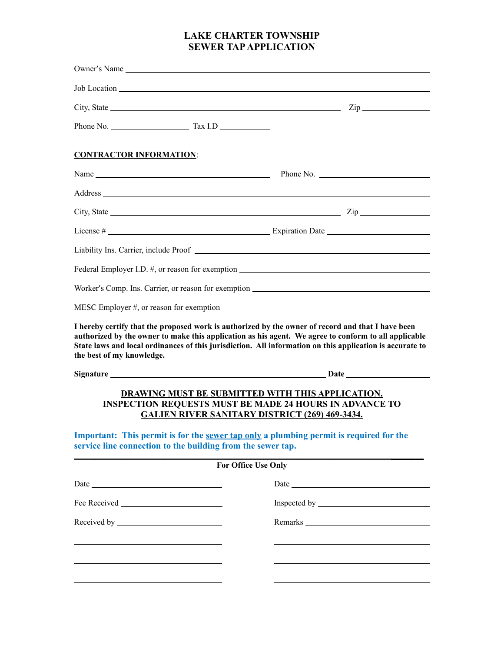## **LAKE CHARTER TOWNSHIP SEWER TAP APPLICATION**

| Owner's Name                                                |                            |                                                                                                                                                                                                                                                                                                                       |
|-------------------------------------------------------------|----------------------------|-----------------------------------------------------------------------------------------------------------------------------------------------------------------------------------------------------------------------------------------------------------------------------------------------------------------------|
|                                                             |                            |                                                                                                                                                                                                                                                                                                                       |
|                                                             |                            |                                                                                                                                                                                                                                                                                                                       |
|                                                             |                            |                                                                                                                                                                                                                                                                                                                       |
| <b>CONTRACTOR INFORMATION:</b>                              |                            |                                                                                                                                                                                                                                                                                                                       |
|                                                             |                            |                                                                                                                                                                                                                                                                                                                       |
|                                                             |                            |                                                                                                                                                                                                                                                                                                                       |
|                                                             |                            |                                                                                                                                                                                                                                                                                                                       |
|                                                             |                            |                                                                                                                                                                                                                                                                                                                       |
|                                                             |                            |                                                                                                                                                                                                                                                                                                                       |
|                                                             |                            | Federal Employer I.D. #, or reason for exemption ________________________________                                                                                                                                                                                                                                     |
|                                                             |                            |                                                                                                                                                                                                                                                                                                                       |
|                                                             |                            |                                                                                                                                                                                                                                                                                                                       |
| the best of my knowledge.                                   |                            | I hereby certify that the proposed work is authorized by the owner of record and that I have been<br>authorized by the owner to make this application as his agent. We agree to conform to all applicable<br>State laws and local ordinances of this jurisdiction. All information on this application is accurate to |
|                                                             |                            |                                                                                                                                                                                                                                                                                                                       |
|                                                             |                            | <b>DRAWING MUST BE SUBMITTED WITH THIS APPLICATION.</b><br><b>INSPECTION REQUESTS MUST BE MADE 24 HOURS IN ADVANCE TO</b><br><b>GALIEN RIVER SANITARY DISTRICT (269) 469-3434.</b><br>Important: This permit is for the sewer tap only a plumbing permit is required for the                                          |
| service line connection to the building from the sewer tap. |                            |                                                                                                                                                                                                                                                                                                                       |
|                                                             | <b>For Office Use Only</b> |                                                                                                                                                                                                                                                                                                                       |
|                                                             |                            |                                                                                                                                                                                                                                                                                                                       |
|                                                             |                            |                                                                                                                                                                                                                                                                                                                       |
|                                                             |                            |                                                                                                                                                                                                                                                                                                                       |
|                                                             |                            |                                                                                                                                                                                                                                                                                                                       |
|                                                             |                            |                                                                                                                                                                                                                                                                                                                       |
|                                                             |                            |                                                                                                                                                                                                                                                                                                                       |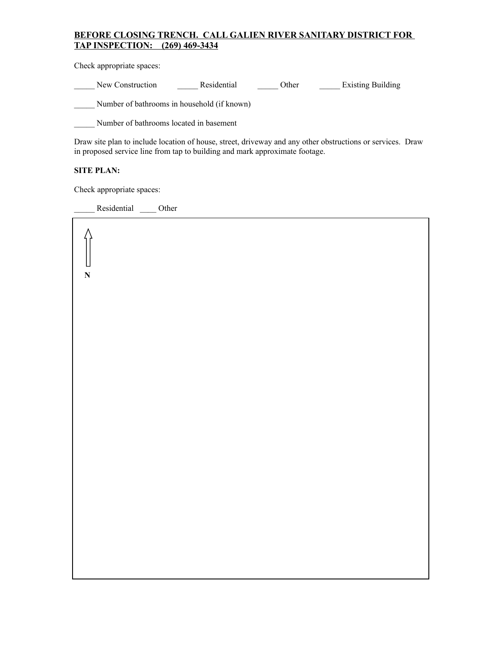## **BEFORE CLOSING TRENCH. CALL GALIEN RIVER SANITARY DISTRICT FOR TAP INSPECTION: (269) 469-3434**

Check appropriate spaces:

New Construction **Construction** Residential **Construction** Density Building

\_\_\_\_\_ Number of bathrooms in household (if known)

\_\_\_\_\_ Number of bathrooms located in basement

Draw site plan to include location of house, street, driveway and any other obstructions or services. Draw in proposed service line from tap to building and mark approximate footage.

## **SITE PLAN:**

**N**

Check appropriate spaces:

Residential \_\_\_\_\_ Other